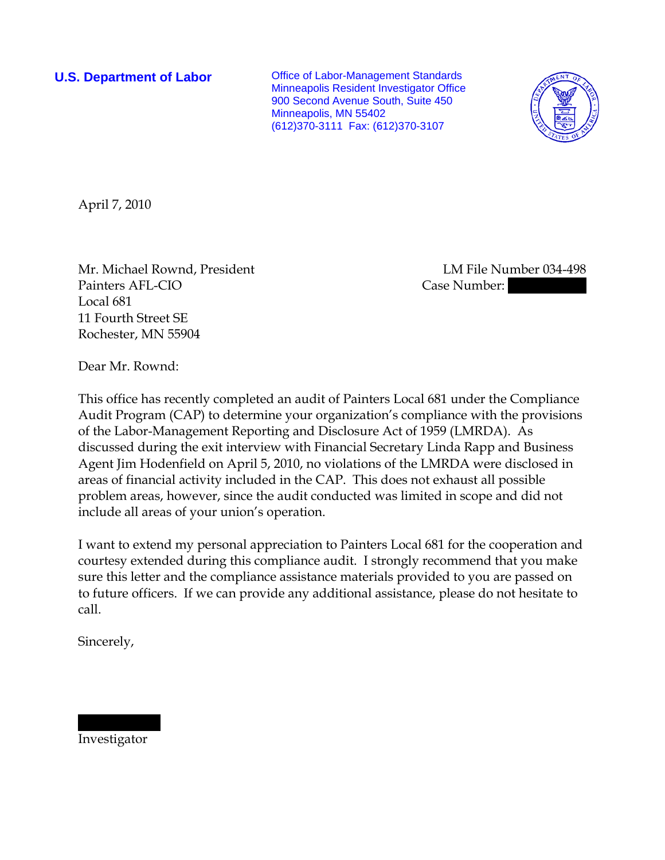**U.S. Department of Labor Conservative Conservative Conservative Conservative Conservative Conservative Conservative Conservative Conservative Conservative Conservative Conservative Conservative Conservative Conservative** Minneapolis Resident Investigator Office 900 Second Avenue South, Suite 450 Minneapolis, MN 55402 (612)370-3111 Fax: (612)370-3107



April 7, 2010

Mr. Michael Rownd, President LM File Number 034-498 Painters AFL-CIO **Case Number:** 330-08454 (77) Case Number: 331-08454 Local 681 11 Fourth Street SE Rochester, MN 55904

Dear Mr. Rownd:

This office has recently completed an audit of Painters Local 681 under the Compliance Audit Program (CAP) to determine your organization's compliance with the provisions of the Labor-Management Reporting and Disclosure Act of 1959 (LMRDA). As discussed during the exit interview with Financial Secretary Linda Rapp and Business Agent Jim Hodenfield on April 5, 2010, no violations of the LMRDA were disclosed in areas of financial activity included in the CAP. This does not exhaust all possible problem areas, however, since the audit conducted was limited in scope and did not include all areas of your union's operation.

I want to extend my personal appreciation to Painters Local 681 for the cooperation and courtesy extended during this compliance audit. I strongly recommend that you make sure this letter and the compliance assistance materials provided to you are passed on to future officers. If we can provide any additional assistance, please do not hesitate to call.

Sincerely,

Investigator

|||||| ||||